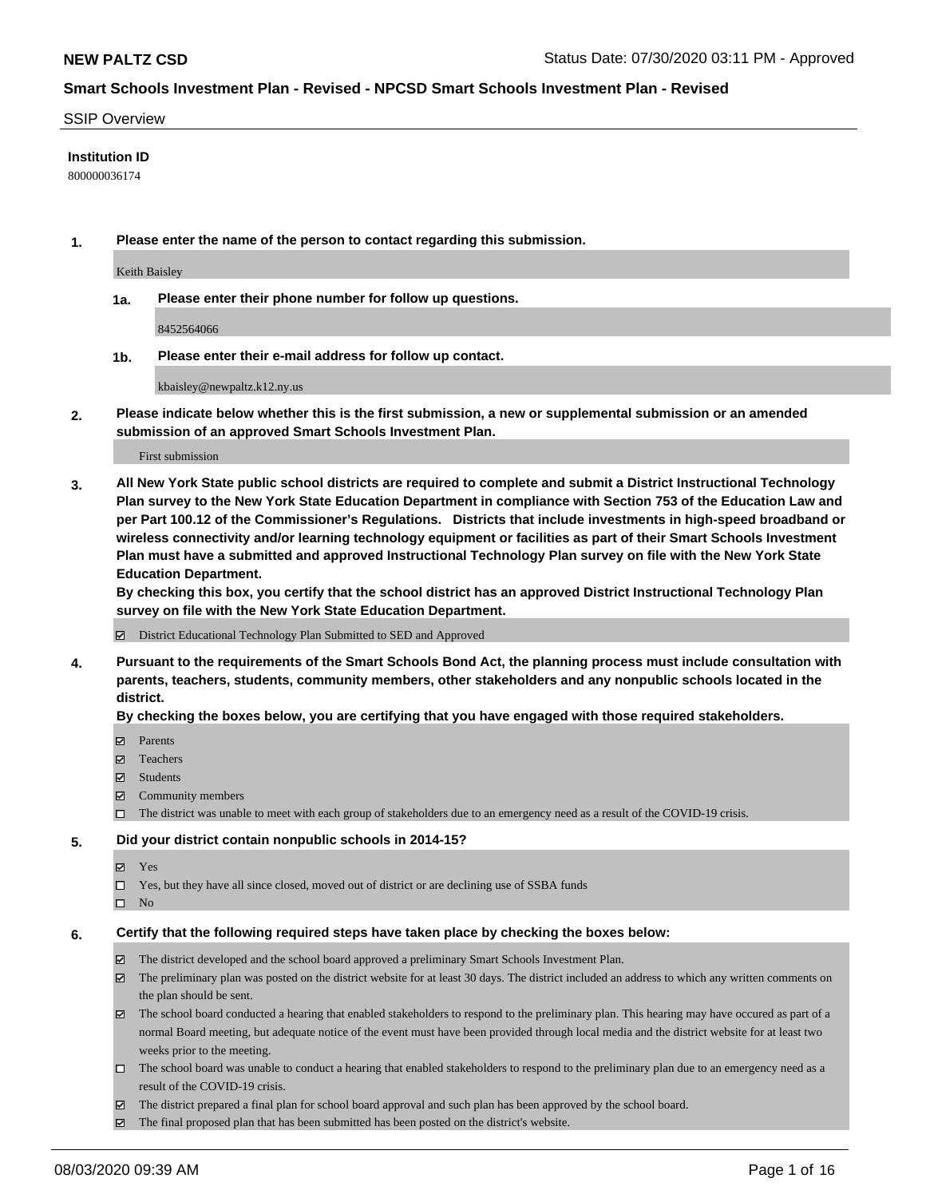### SSIP Overview

### **Institution ID**

800000036174

**1. Please enter the name of the person to contact regarding this submission.**

Keith Baisley

**1a. Please enter their phone number for follow up questions.**

8452564066

**1b. Please enter their e-mail address for follow up contact.**

kbaisley@newpaltz.k12.ny.us

**2. Please indicate below whether this is the first submission, a new or supplemental submission or an amended submission of an approved Smart Schools Investment Plan.**

### First submission

**3. All New York State public school districts are required to complete and submit a District Instructional Technology Plan survey to the New York State Education Department in compliance with Section 753 of the Education Law and per Part 100.12 of the Commissioner's Regulations. Districts that include investments in high-speed broadband or wireless connectivity and/or learning technology equipment or facilities as part of their Smart Schools Investment Plan must have a submitted and approved Instructional Technology Plan survey on file with the New York State Education Department.** 

**By checking this box, you certify that the school district has an approved District Instructional Technology Plan survey on file with the New York State Education Department.**

District Educational Technology Plan Submitted to SED and Approved

**4. Pursuant to the requirements of the Smart Schools Bond Act, the planning process must include consultation with parents, teachers, students, community members, other stakeholders and any nonpublic schools located in the district.** 

#### **By checking the boxes below, you are certifying that you have engaged with those required stakeholders.**

- **Parents**
- Teachers
- Students
- $\boxtimes$  Community members
- The district was unable to meet with each group of stakeholders due to an emergency need as a result of the COVID-19 crisis.

### **5. Did your district contain nonpublic schools in 2014-15?**

- **冈** Yes
- Yes, but they have all since closed, moved out of district or are declining use of SSBA funds
- $\square$  No

#### **6. Certify that the following required steps have taken place by checking the boxes below:**

- The district developed and the school board approved a preliminary Smart Schools Investment Plan.
- $\boxtimes$  The preliminary plan was posted on the district website for at least 30 days. The district included an address to which any written comments on the plan should be sent.
- The school board conducted a hearing that enabled stakeholders to respond to the preliminary plan. This hearing may have occured as part of a normal Board meeting, but adequate notice of the event must have been provided through local media and the district website for at least two weeks prior to the meeting.
- The school board was unable to conduct a hearing that enabled stakeholders to respond to the preliminary plan due to an emergency need as a result of the COVID-19 crisis.
- The district prepared a final plan for school board approval and such plan has been approved by the school board.
- $\boxtimes$  The final proposed plan that has been submitted has been posted on the district's website.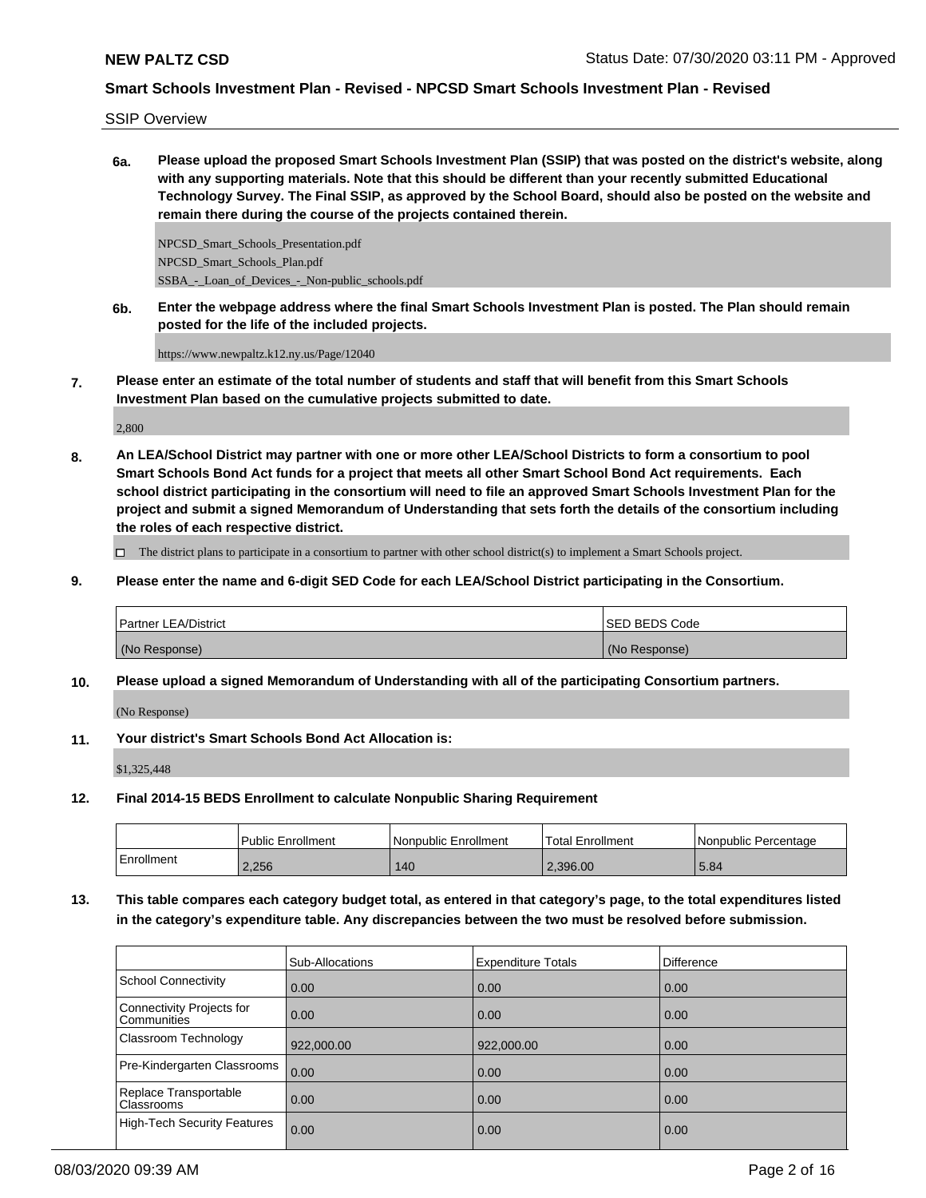SSIP Overview

**6a. Please upload the proposed Smart Schools Investment Plan (SSIP) that was posted on the district's website, along with any supporting materials. Note that this should be different than your recently submitted Educational Technology Survey. The Final SSIP, as approved by the School Board, should also be posted on the website and remain there during the course of the projects contained therein.**

NPCSD\_Smart\_Schools\_Presentation.pdf NPCSD\_Smart\_Schools\_Plan.pdf SSBA\_-\_Loan\_of\_Devices\_-\_Non-public\_schools.pdf

**6b. Enter the webpage address where the final Smart Schools Investment Plan is posted. The Plan should remain posted for the life of the included projects.**

https://www.newpaltz.k12.ny.us/Page/12040

**7. Please enter an estimate of the total number of students and staff that will benefit from this Smart Schools Investment Plan based on the cumulative projects submitted to date.**

2,800

**8. An LEA/School District may partner with one or more other LEA/School Districts to form a consortium to pool Smart Schools Bond Act funds for a project that meets all other Smart School Bond Act requirements. Each school district participating in the consortium will need to file an approved Smart Schools Investment Plan for the project and submit a signed Memorandum of Understanding that sets forth the details of the consortium including the roles of each respective district.**

 $\Box$  The district plans to participate in a consortium to partner with other school district(s) to implement a Smart Schools project.

**9. Please enter the name and 6-digit SED Code for each LEA/School District participating in the Consortium.**

| <b>Partner LEA/District</b> | <b>ISED BEDS Code</b> |
|-----------------------------|-----------------------|
| (No Response)               | (No Response)         |

**10. Please upload a signed Memorandum of Understanding with all of the participating Consortium partners.**

(No Response)

**11. Your district's Smart Schools Bond Act Allocation is:**

\$1,325,448

**12. Final 2014-15 BEDS Enrollment to calculate Nonpublic Sharing Requirement**

|            | l Public Enrollment | Nonpublic Enrollment | 'Total Enrollment | <b>INonpublic Percentage</b> |
|------------|---------------------|----------------------|-------------------|------------------------------|
| Enrollment | 2.256               | 140                  | 2.396.00          | 5.84                         |

**13. This table compares each category budget total, as entered in that category's page, to the total expenditures listed in the category's expenditure table. Any discrepancies between the two must be resolved before submission.**

|                                          | Sub-Allocations | <b>Expenditure Totals</b> | <b>Difference</b> |
|------------------------------------------|-----------------|---------------------------|-------------------|
| <b>School Connectivity</b>               | 0.00            | 0.00                      | 0.00              |
| Connectivity Projects for<br>Communities | 0.00            | 0.00                      | 0.00              |
| Classroom Technology                     | 922,000.00      | 922,000.00                | 0.00              |
| Pre-Kindergarten Classrooms              | 0.00            | 0.00                      | 0.00              |
| Replace Transportable<br>Classrooms      | 0.00            | 0.00                      | 0.00              |
| <b>High-Tech Security Features</b>       | 0.00            | 0.00                      | 0.00              |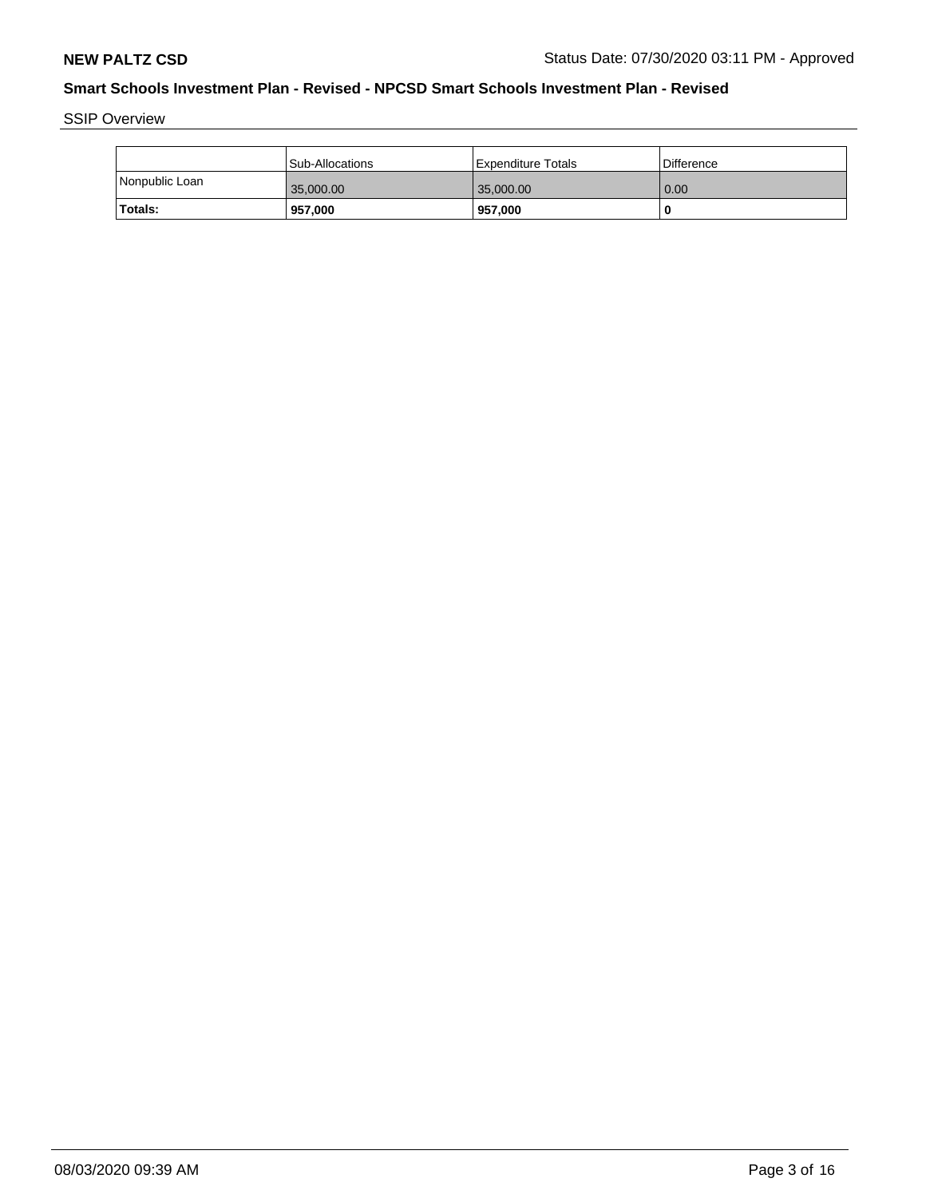SSIP Overview

|                | Sub-Allocations | l Expenditure Totals | Difference |
|----------------|-----------------|----------------------|------------|
| Nonpublic Loan | 35,000.00       | 35,000.00            | 0.00       |
| Totals:        | 957,000         | 957,000              | -C         |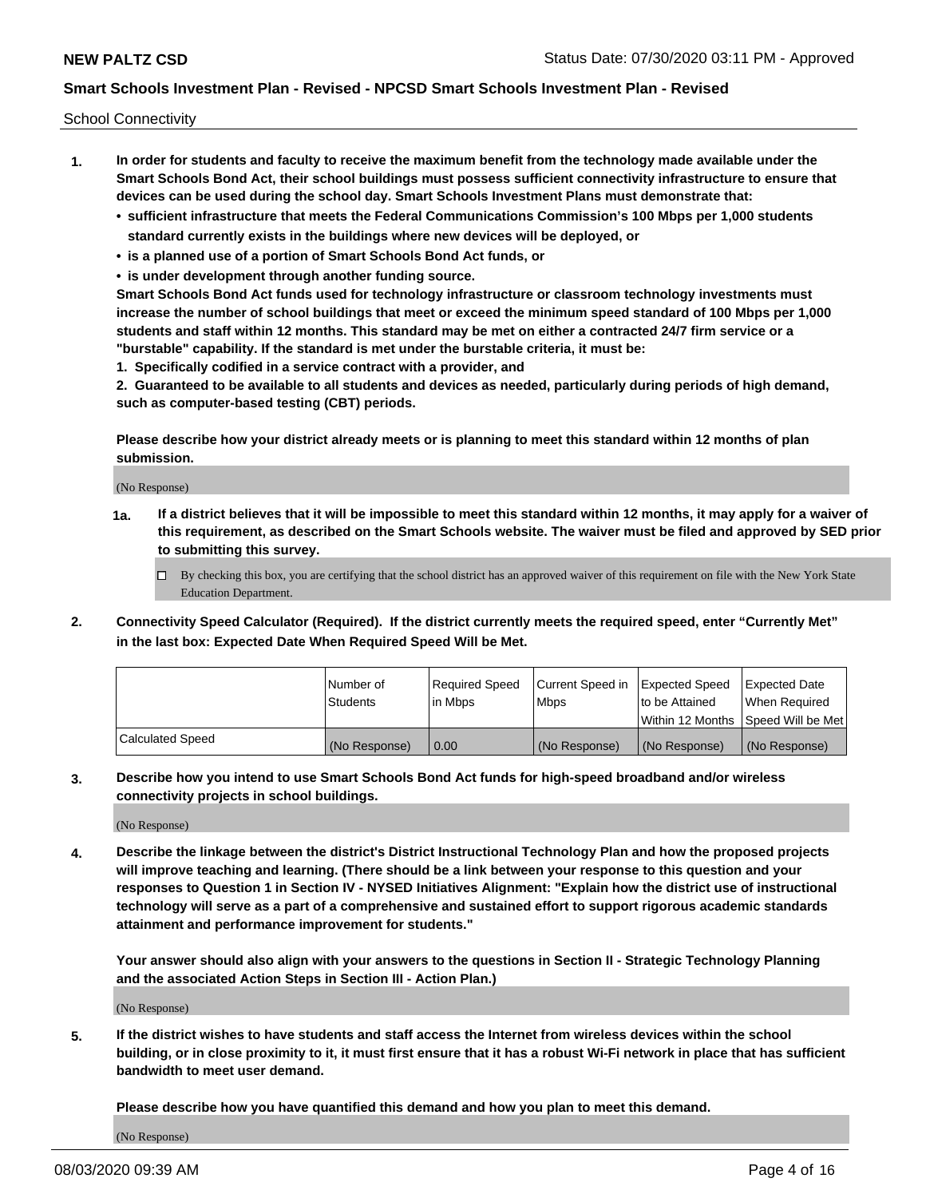School Connectivity

- **1. In order for students and faculty to receive the maximum benefit from the technology made available under the Smart Schools Bond Act, their school buildings must possess sufficient connectivity infrastructure to ensure that devices can be used during the school day. Smart Schools Investment Plans must demonstrate that:**
	- **• sufficient infrastructure that meets the Federal Communications Commission's 100 Mbps per 1,000 students standard currently exists in the buildings where new devices will be deployed, or**
	- **• is a planned use of a portion of Smart Schools Bond Act funds, or**
	- **• is under development through another funding source.**

**Smart Schools Bond Act funds used for technology infrastructure or classroom technology investments must increase the number of school buildings that meet or exceed the minimum speed standard of 100 Mbps per 1,000 students and staff within 12 months. This standard may be met on either a contracted 24/7 firm service or a "burstable" capability. If the standard is met under the burstable criteria, it must be:**

**1. Specifically codified in a service contract with a provider, and**

**2. Guaranteed to be available to all students and devices as needed, particularly during periods of high demand, such as computer-based testing (CBT) periods.**

**Please describe how your district already meets or is planning to meet this standard within 12 months of plan submission.**

(No Response)

**1a. If a district believes that it will be impossible to meet this standard within 12 months, it may apply for a waiver of this requirement, as described on the Smart Schools website. The waiver must be filed and approved by SED prior to submitting this survey.**

 $\Box$  By checking this box, you are certifying that the school district has an approved waiver of this requirement on file with the New York State Education Department.

**2. Connectivity Speed Calculator (Required). If the district currently meets the required speed, enter "Currently Met" in the last box: Expected Date When Required Speed Will be Met.**

|                  | l Number of     | Required Speed | Current Speed in | Expected Speed | Expected Date                        |
|------------------|-----------------|----------------|------------------|----------------|--------------------------------------|
|                  | <b>Students</b> | In Mbps        | <b>Mbps</b>      | to be Attained | When Required                        |
|                  |                 |                |                  |                | Within 12 Months 1Speed Will be Met1 |
| Calculated Speed | (No Response)   | 0.00           | (No Response)    | (No Response)  | l (No Response)                      |

**3. Describe how you intend to use Smart Schools Bond Act funds for high-speed broadband and/or wireless connectivity projects in school buildings.**

(No Response)

**4. Describe the linkage between the district's District Instructional Technology Plan and how the proposed projects will improve teaching and learning. (There should be a link between your response to this question and your responses to Question 1 in Section IV - NYSED Initiatives Alignment: "Explain how the district use of instructional technology will serve as a part of a comprehensive and sustained effort to support rigorous academic standards attainment and performance improvement for students."** 

**Your answer should also align with your answers to the questions in Section II - Strategic Technology Planning and the associated Action Steps in Section III - Action Plan.)**

(No Response)

**5. If the district wishes to have students and staff access the Internet from wireless devices within the school building, or in close proximity to it, it must first ensure that it has a robust Wi-Fi network in place that has sufficient bandwidth to meet user demand.**

**Please describe how you have quantified this demand and how you plan to meet this demand.**

(No Response)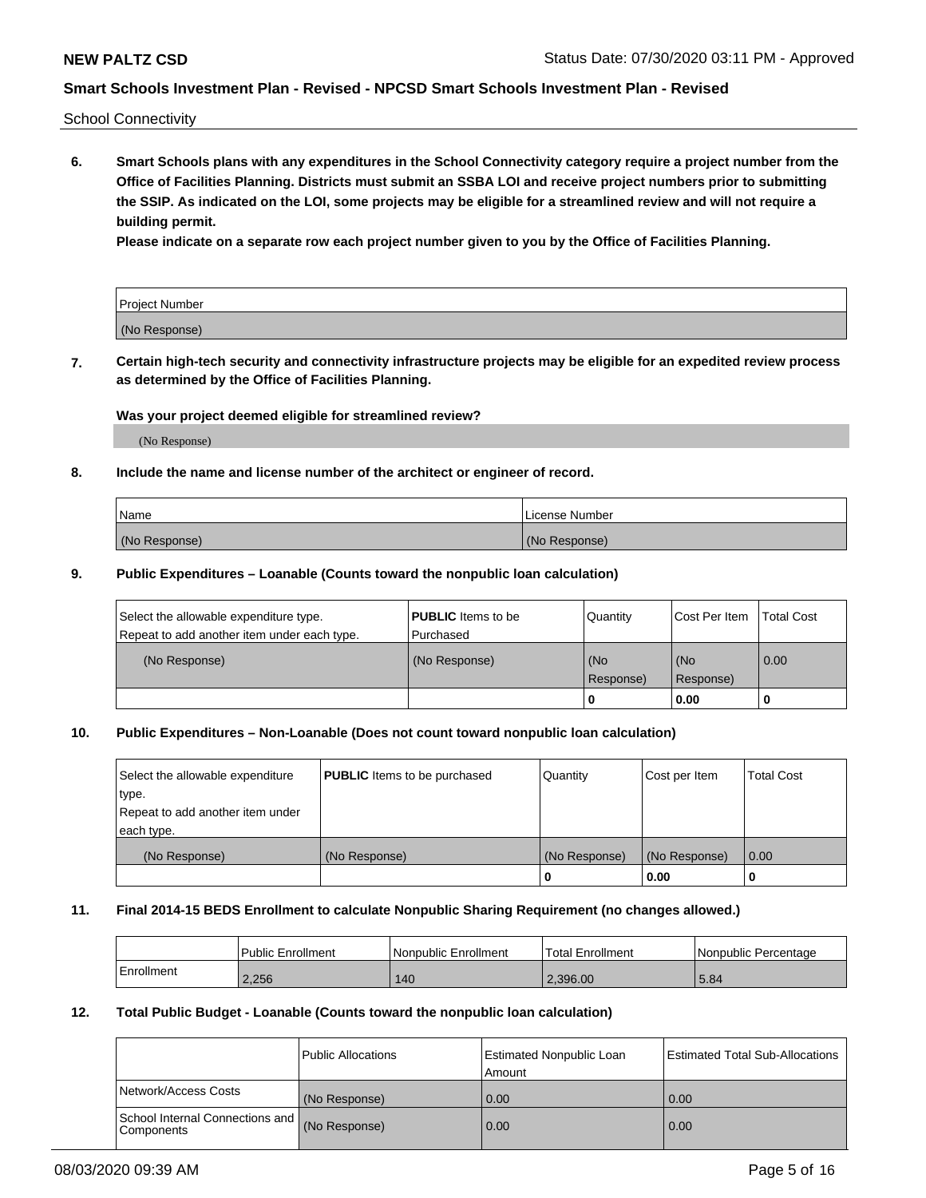School Connectivity

**6. Smart Schools plans with any expenditures in the School Connectivity category require a project number from the Office of Facilities Planning. Districts must submit an SSBA LOI and receive project numbers prior to submitting the SSIP. As indicated on the LOI, some projects may be eligible for a streamlined review and will not require a building permit.**

**Please indicate on a separate row each project number given to you by the Office of Facilities Planning.**

| Project Number |  |
|----------------|--|
| (No Response)  |  |

**7. Certain high-tech security and connectivity infrastructure projects may be eligible for an expedited review process as determined by the Office of Facilities Planning.**

### **Was your project deemed eligible for streamlined review?**

(No Response)

### **8. Include the name and license number of the architect or engineer of record.**

| Name          | License Number |
|---------------|----------------|
| (No Response) | (No Response)  |

### **9. Public Expenditures – Loanable (Counts toward the nonpublic loan calculation)**

| Select the allowable expenditure type.<br>Repeat to add another item under each type. | <b>PUBLIC</b> Items to be<br>l Purchased | Quantity         | l Cost Per Item  | <b>Total Cost</b> |
|---------------------------------------------------------------------------------------|------------------------------------------|------------------|------------------|-------------------|
| (No Response)                                                                         | (No Response)                            | (No<br>Response) | (No<br>Response) | 0.00              |
|                                                                                       |                                          | 0                | 0.00             |                   |

# **10. Public Expenditures – Non-Loanable (Does not count toward nonpublic loan calculation)**

| Select the allowable expenditure<br>type.<br>Repeat to add another item under<br>each type. | <b>PUBLIC</b> Items to be purchased | Quantity      | Cost per Item | <b>Total Cost</b> |
|---------------------------------------------------------------------------------------------|-------------------------------------|---------------|---------------|-------------------|
| (No Response)                                                                               | (No Response)                       | (No Response) | (No Response) | 0.00              |
|                                                                                             |                                     |               | 0.00          |                   |

#### **11. Final 2014-15 BEDS Enrollment to calculate Nonpublic Sharing Requirement (no changes allowed.)**

|            | Public Enrollment | Nonpublic Enrollment | 'Total Enrollment | l Nonpublic Percentage |
|------------|-------------------|----------------------|-------------------|------------------------|
| Enrollment | 2,256             | 140                  | 2.396.00          | 5.84                   |

### **12. Total Public Budget - Loanable (Counts toward the nonpublic loan calculation)**

|                                                      | Public Allocations | <b>Estimated Nonpublic Loan</b><br>Amount | Estimated Total Sub-Allocations |
|------------------------------------------------------|--------------------|-------------------------------------------|---------------------------------|
| Network/Access Costs                                 | (No Response)      | 0.00                                      | 0.00                            |
| School Internal Connections and<br><b>Components</b> | (No Response)      | 0.00                                      | 0.00                            |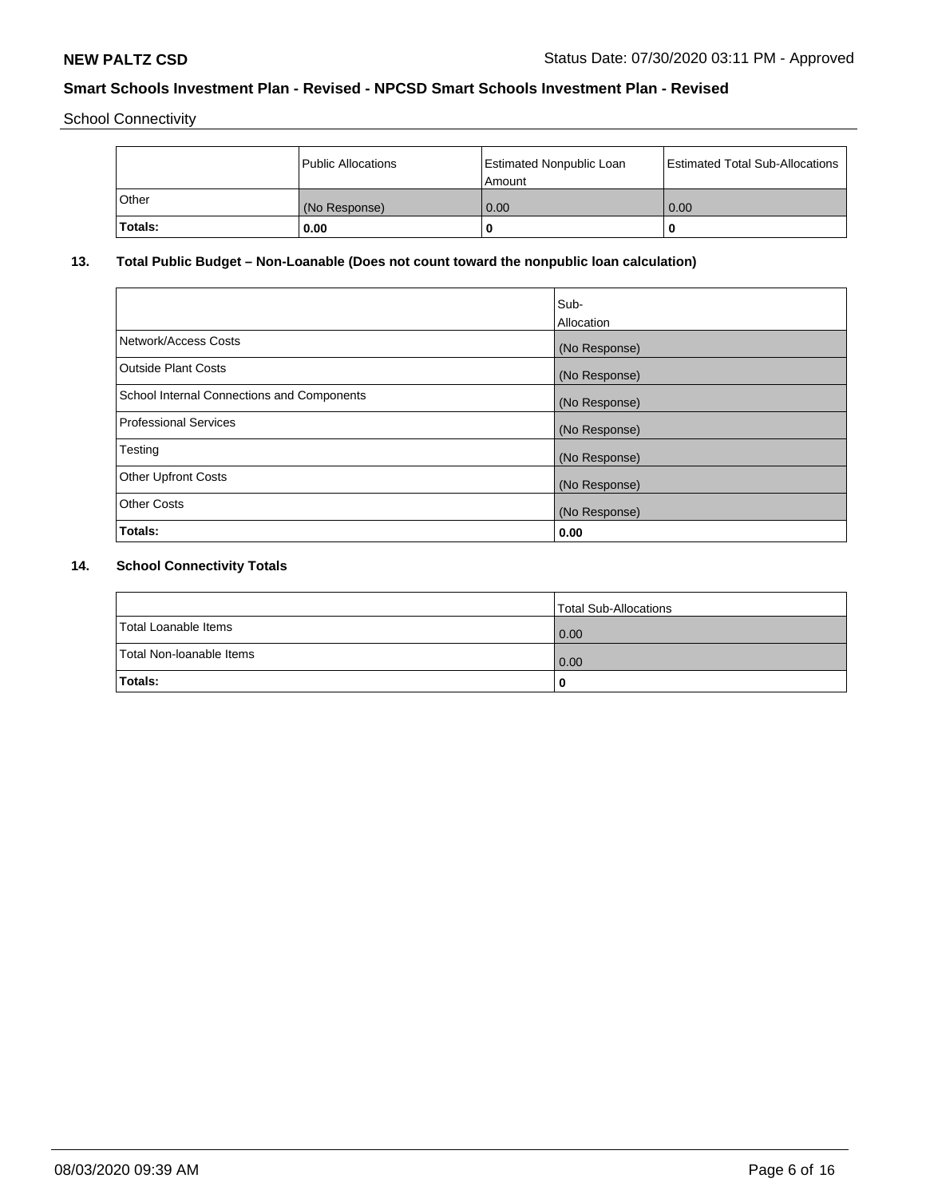School Connectivity

|         | Public Allocations | <b>Estimated Nonpublic Loan</b><br>l Amount | <b>Estimated Total Sub-Allocations</b> |
|---------|--------------------|---------------------------------------------|----------------------------------------|
| l Other | (No Response)      | 0.00                                        | 0.00                                   |
| Totals: | 0.00               | 0                                           |                                        |

# **13. Total Public Budget – Non-Loanable (Does not count toward the nonpublic loan calculation)**

|                                                   | Sub-<br>Allocation |
|---------------------------------------------------|--------------------|
|                                                   |                    |
| Network/Access Costs                              | (No Response)      |
| <b>Outside Plant Costs</b>                        | (No Response)      |
| <b>School Internal Connections and Components</b> | (No Response)      |
| Professional Services                             | (No Response)      |
| Testing                                           | (No Response)      |
| <b>Other Upfront Costs</b>                        | (No Response)      |
| <b>Other Costs</b>                                | (No Response)      |
| <b>Totals:</b>                                    | 0.00               |

# **14. School Connectivity Totals**

|                          | Total Sub-Allocations |
|--------------------------|-----------------------|
| Total Loanable Items     | 0.00                  |
| Total Non-Ioanable Items | 0.00                  |
| Totals:                  | 0                     |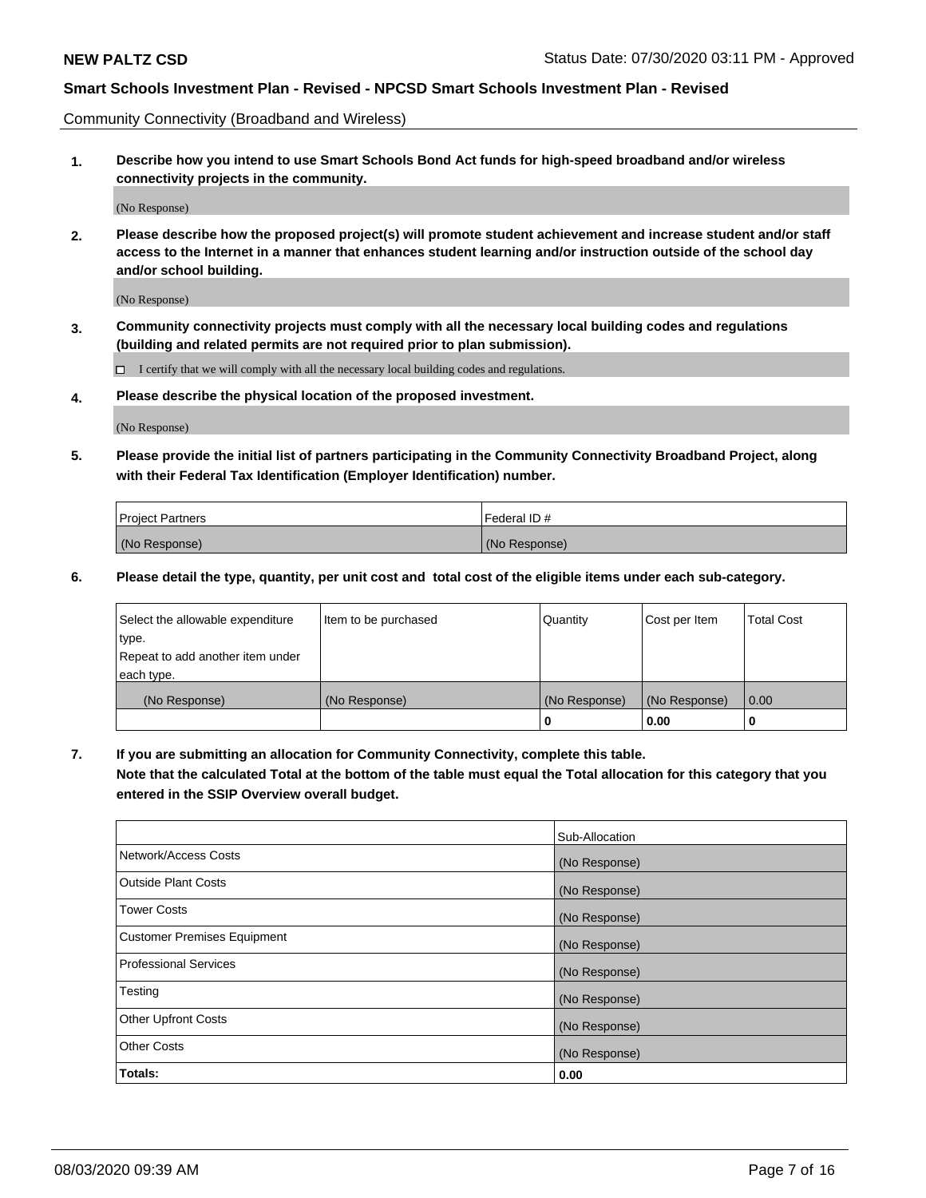Community Connectivity (Broadband and Wireless)

**1. Describe how you intend to use Smart Schools Bond Act funds for high-speed broadband and/or wireless connectivity projects in the community.**

(No Response)

**2. Please describe how the proposed project(s) will promote student achievement and increase student and/or staff access to the Internet in a manner that enhances student learning and/or instruction outside of the school day and/or school building.**

(No Response)

**3. Community connectivity projects must comply with all the necessary local building codes and regulations (building and related permits are not required prior to plan submission).**

 $\Box$  I certify that we will comply with all the necessary local building codes and regulations.

**4. Please describe the physical location of the proposed investment.**

(No Response)

**5. Please provide the initial list of partners participating in the Community Connectivity Broadband Project, along with their Federal Tax Identification (Employer Identification) number.**

| <b>Project Partners</b> | l Federal ID # |
|-------------------------|----------------|
| (No Response)           | (No Response)  |

**6. Please detail the type, quantity, per unit cost and total cost of the eligible items under each sub-category.**

| Select the allowable expenditure | Item to be purchased | Quantity      | Cost per Item | <b>Total Cost</b> |
|----------------------------------|----------------------|---------------|---------------|-------------------|
| type.                            |                      |               |               |                   |
| Repeat to add another item under |                      |               |               |                   |
| each type.                       |                      |               |               |                   |
| (No Response)                    | (No Response)        | (No Response) | (No Response) | 0.00              |
|                                  |                      | o             | 0.00          |                   |

**7. If you are submitting an allocation for Community Connectivity, complete this table.**

**Note that the calculated Total at the bottom of the table must equal the Total allocation for this category that you entered in the SSIP Overview overall budget.**

|                                    | Sub-Allocation |
|------------------------------------|----------------|
| Network/Access Costs               | (No Response)  |
| Outside Plant Costs                | (No Response)  |
| <b>Tower Costs</b>                 | (No Response)  |
| <b>Customer Premises Equipment</b> | (No Response)  |
| <b>Professional Services</b>       | (No Response)  |
| Testing                            | (No Response)  |
| <b>Other Upfront Costs</b>         | (No Response)  |
| <b>Other Costs</b>                 | (No Response)  |
| Totals:                            | 0.00           |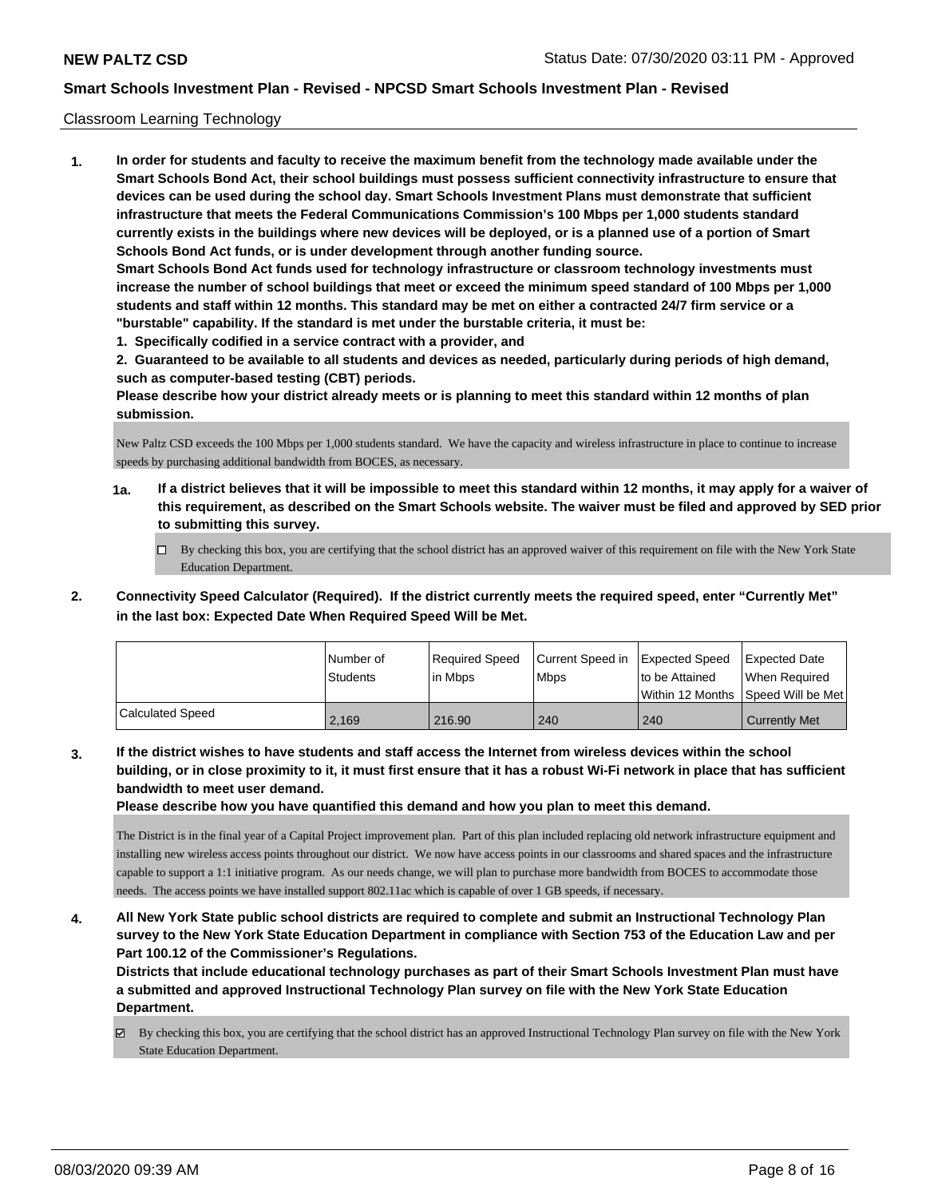### Classroom Learning Technology

**1. In order for students and faculty to receive the maximum benefit from the technology made available under the Smart Schools Bond Act, their school buildings must possess sufficient connectivity infrastructure to ensure that devices can be used during the school day. Smart Schools Investment Plans must demonstrate that sufficient infrastructure that meets the Federal Communications Commission's 100 Mbps per 1,000 students standard currently exists in the buildings where new devices will be deployed, or is a planned use of a portion of Smart Schools Bond Act funds, or is under development through another funding source. Smart Schools Bond Act funds used for technology infrastructure or classroom technology investments must increase the number of school buildings that meet or exceed the minimum speed standard of 100 Mbps per 1,000 students and staff within 12 months. This standard may be met on either a contracted 24/7 firm service or a "burstable" capability. If the standard is met under the burstable criteria, it must be:**

**1. Specifically codified in a service contract with a provider, and**

**2. Guaranteed to be available to all students and devices as needed, particularly during periods of high demand, such as computer-based testing (CBT) periods.**

**Please describe how your district already meets or is planning to meet this standard within 12 months of plan submission.**

New Paltz CSD exceeds the 100 Mbps per 1,000 students standard. We have the capacity and wireless infrastructure in place to continue to increase speeds by purchasing additional bandwidth from BOCES, as necessary.

- **1a. If a district believes that it will be impossible to meet this standard within 12 months, it may apply for a waiver of this requirement, as described on the Smart Schools website. The waiver must be filed and approved by SED prior to submitting this survey.**
	- By checking this box, you are certifying that the school district has an approved waiver of this requirement on file with the New York State Education Department.
- **2. Connectivity Speed Calculator (Required). If the district currently meets the required speed, enter "Currently Met" in the last box: Expected Date When Required Speed Will be Met.**

|                  | l Number of<br><b>Students</b> | Required Speed<br>l in Mbps | Current Speed in<br>l Mbps | <b>Expected Speed</b><br>to be Attained | <b>Expected Date</b><br>When Required<br> Within 12 Months  Speed Will be Met |
|------------------|--------------------------------|-----------------------------|----------------------------|-----------------------------------------|-------------------------------------------------------------------------------|
| Calculated Speed | 2.169                          | 216.90                      | 240                        | 240                                     | <b>Currently Met</b>                                                          |

**3. If the district wishes to have students and staff access the Internet from wireless devices within the school building, or in close proximity to it, it must first ensure that it has a robust Wi-Fi network in place that has sufficient bandwidth to meet user demand.**

**Please describe how you have quantified this demand and how you plan to meet this demand.**

The District is in the final year of a Capital Project improvement plan. Part of this plan included replacing old network infrastructure equipment and installing new wireless access points throughout our district. We now have access points in our classrooms and shared spaces and the infrastructure capable to support a 1:1 initiative program. As our needs change, we will plan to purchase more bandwidth from BOCES to accommodate those needs. The access points we have installed support 802.11ac which is capable of over 1 GB speeds, if necessary.

**4. All New York State public school districts are required to complete and submit an Instructional Technology Plan survey to the New York State Education Department in compliance with Section 753 of the Education Law and per Part 100.12 of the Commissioner's Regulations.**

**Districts that include educational technology purchases as part of their Smart Schools Investment Plan must have a submitted and approved Instructional Technology Plan survey on file with the New York State Education Department.**

By checking this box, you are certifying that the school district has an approved Instructional Technology Plan survey on file with the New York State Education Department.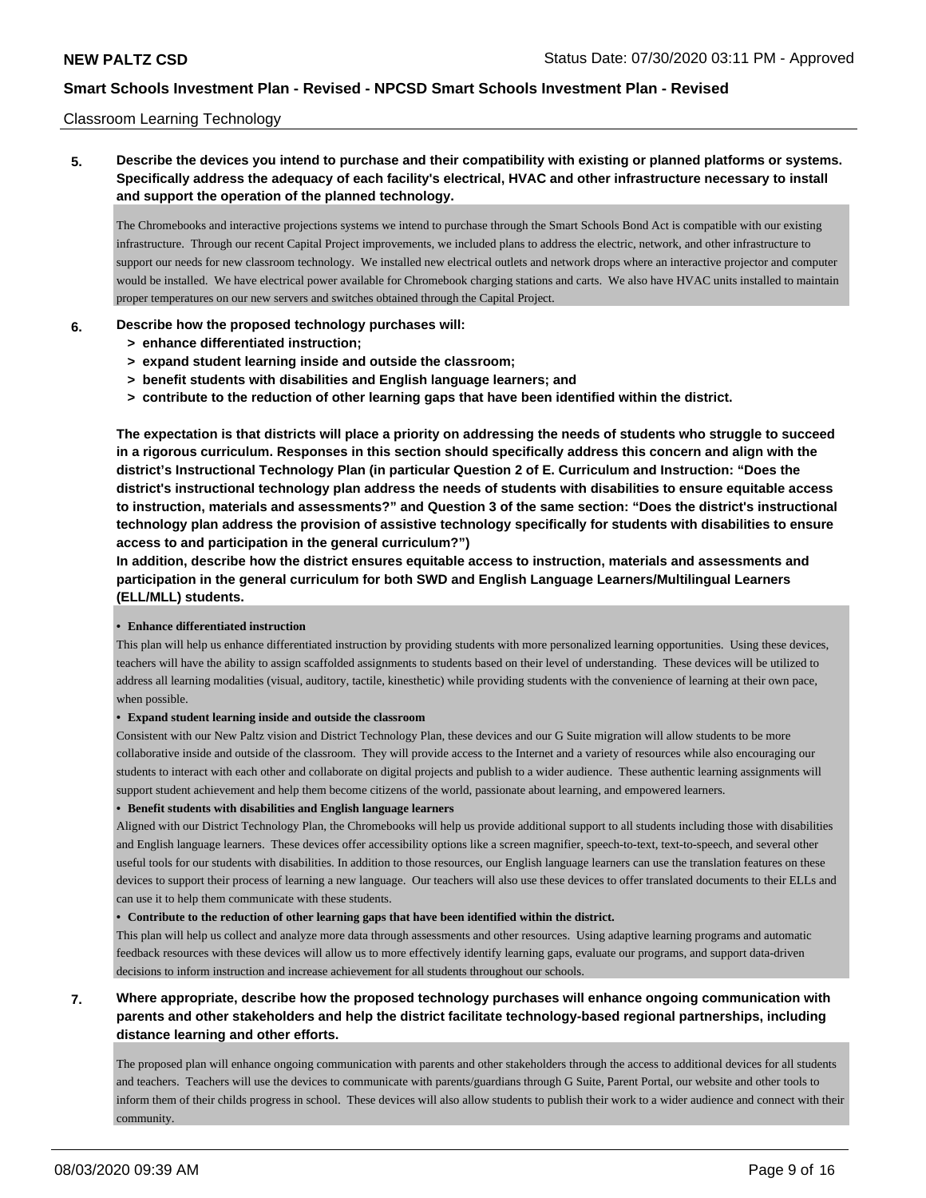### Classroom Learning Technology

# **5. Describe the devices you intend to purchase and their compatibility with existing or planned platforms or systems. Specifically address the adequacy of each facility's electrical, HVAC and other infrastructure necessary to install and support the operation of the planned technology.**

The Chromebooks and interactive projections systems we intend to purchase through the Smart Schools Bond Act is compatible with our existing infrastructure. Through our recent Capital Project improvements, we included plans to address the electric, network, and other infrastructure to support our needs for new classroom technology. We installed new electrical outlets and network drops where an interactive projector and computer would be installed. We have electrical power available for Chromebook charging stations and carts. We also have HVAC units installed to maintain proper temperatures on our new servers and switches obtained through the Capital Project.

#### **6. Describe how the proposed technology purchases will:**

- **> enhance differentiated instruction;**
- **> expand student learning inside and outside the classroom;**
- **> benefit students with disabilities and English language learners; and**
- **> contribute to the reduction of other learning gaps that have been identified within the district.**

**The expectation is that districts will place a priority on addressing the needs of students who struggle to succeed in a rigorous curriculum. Responses in this section should specifically address this concern and align with the district's Instructional Technology Plan (in particular Question 2 of E. Curriculum and Instruction: "Does the district's instructional technology plan address the needs of students with disabilities to ensure equitable access to instruction, materials and assessments?" and Question 3 of the same section: "Does the district's instructional technology plan address the provision of assistive technology specifically for students with disabilities to ensure access to and participation in the general curriculum?")**

**In addition, describe how the district ensures equitable access to instruction, materials and assessments and participation in the general curriculum for both SWD and English Language Learners/Multilingual Learners (ELL/MLL) students.**

#### **• Enhance differentiated instruction**

This plan will help us enhance differentiated instruction by providing students with more personalized learning opportunities. Using these devices, teachers will have the ability to assign scaffolded assignments to students based on their level of understanding. These devices will be utilized to address all learning modalities (visual, auditory, tactile, kinesthetic) while providing students with the convenience of learning at their own pace, when possible.

#### **• Expand student learning inside and outside the classroom**

Consistent with our New Paltz vision and District Technology Plan, these devices and our G Suite migration will allow students to be more collaborative inside and outside of the classroom. They will provide access to the Internet and a variety of resources while also encouraging our students to interact with each other and collaborate on digital projects and publish to a wider audience. These authentic learning assignments will support student achievement and help them become citizens of the world, passionate about learning, and empowered learners.

#### **• Benefit students with disabilities and English language learners**

Aligned with our District Technology Plan, the Chromebooks will help us provide additional support to all students including those with disabilities and English language learners. These devices offer accessibility options like a screen magnifier, speech-to-text, text-to-speech, and several other useful tools for our students with disabilities. In addition to those resources, our English language learners can use the translation features on these devices to support their process of learning a new language. Our teachers will also use these devices to offer translated documents to their ELLs and can use it to help them communicate with these students.

#### **• Contribute to the reduction of other learning gaps that have been identified within the district.**

This plan will help us collect and analyze more data through assessments and other resources. Using adaptive learning programs and automatic feedback resources with these devices will allow us to more effectively identify learning gaps, evaluate our programs, and support data-driven decisions to inform instruction and increase achievement for all students throughout our schools.

# **7. Where appropriate, describe how the proposed technology purchases will enhance ongoing communication with parents and other stakeholders and help the district facilitate technology-based regional partnerships, including distance learning and other efforts.**

The proposed plan will enhance ongoing communication with parents and other stakeholders through the access to additional devices for all students and teachers. Teachers will use the devices to communicate with parents/guardians through G Suite, Parent Portal, our website and other tools to inform them of their child s progress in school. These devices will also allow students to publish their work to a wider audience and connect with their community.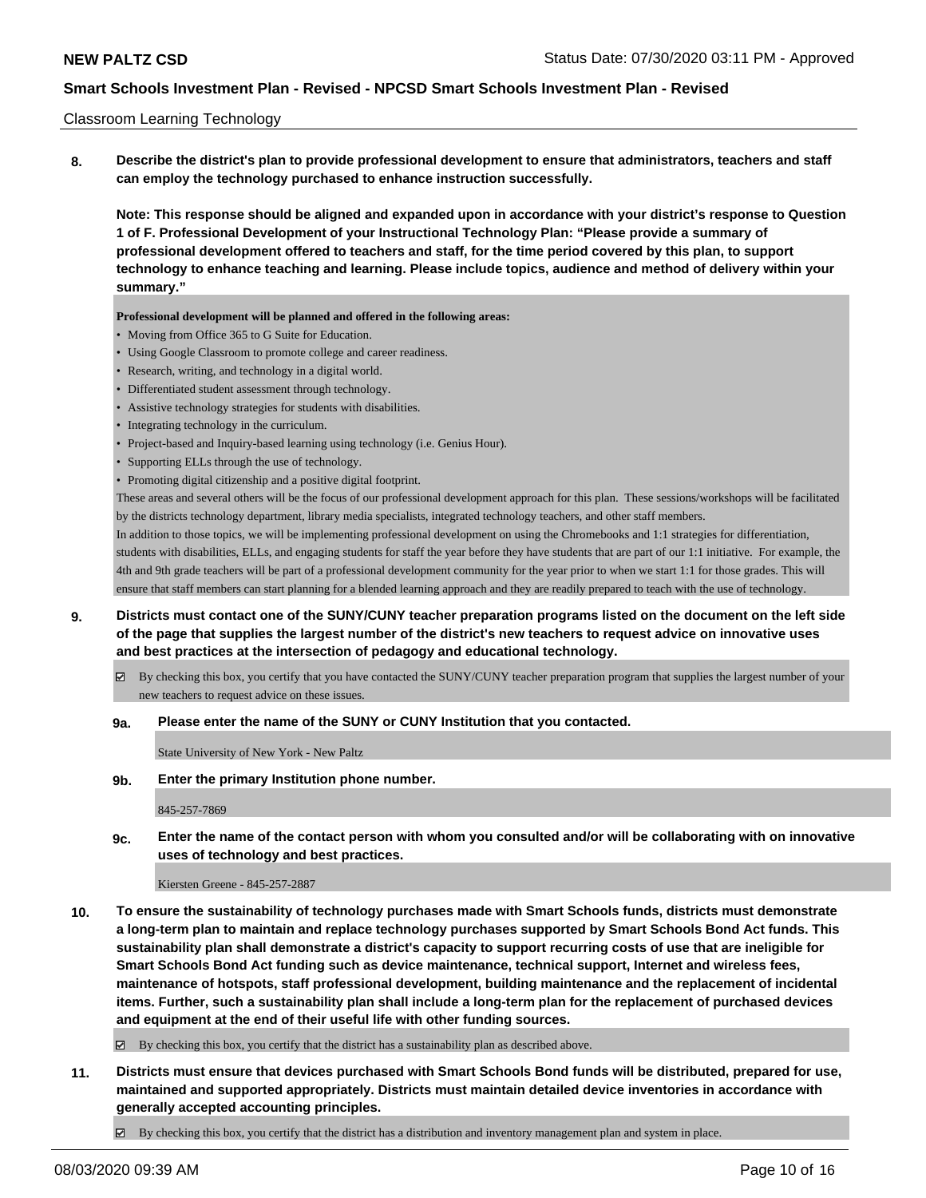### Classroom Learning Technology

**8. Describe the district's plan to provide professional development to ensure that administrators, teachers and staff can employ the technology purchased to enhance instruction successfully.**

**Note: This response should be aligned and expanded upon in accordance with your district's response to Question 1 of F. Professional Development of your Instructional Technology Plan: "Please provide a summary of professional development offered to teachers and staff, for the time period covered by this plan, to support technology to enhance teaching and learning. Please include topics, audience and method of delivery within your summary."**

**Professional development will be planned and offered in the following areas:**

- Moving from Office 365 to G Suite for Education.
- Using Google Classroom to promote college and career readiness.
- Research, writing, and technology in a digital world.
- Differentiated student assessment through technology.
- Assistive technology strategies for students with disabilities.
- Integrating technology in the curriculum.
- Project-based and Inquiry-based learning using technology (i.e. Genius Hour).
- Supporting ELLs through the use of technology.
- Promoting digital citizenship and a positive digital footprint.

These areas and several others will be the focus of our professional development approach for this plan. These sessions/workshops will be facilitated by the district s technology department, library media specialists, integrated technology teachers, and other staff members.

In addition to those topics, we will be implementing professional development on using the Chromebooks and 1:1 strategies for differentiation, students with disabilities, ELLs, and engaging students for staff the year before they have students that are part of our 1:1 initiative. For example, the 4th and 9th grade teachers will be part of a professional development community for the year prior to when we start 1:1 for those grades. This will ensure that staff members can start planning for a blended learning approach and they are readily prepared to teach with the use of technology.

- **9. Districts must contact one of the SUNY/CUNY teacher preparation programs listed on the document on the left side of the page that supplies the largest number of the district's new teachers to request advice on innovative uses and best practices at the intersection of pedagogy and educational technology.**
	- By checking this box, you certify that you have contacted the SUNY/CUNY teacher preparation program that supplies the largest number of your new teachers to request advice on these issues.

### **9a. Please enter the name of the SUNY or CUNY Institution that you contacted.**

State University of New York - New Paltz

#### **9b. Enter the primary Institution phone number.**

845-257-7869

**9c. Enter the name of the contact person with whom you consulted and/or will be collaborating with on innovative uses of technology and best practices.**

### Kiersten Greene - 845-257-2887

**10. To ensure the sustainability of technology purchases made with Smart Schools funds, districts must demonstrate a long-term plan to maintain and replace technology purchases supported by Smart Schools Bond Act funds. This sustainability plan shall demonstrate a district's capacity to support recurring costs of use that are ineligible for Smart Schools Bond Act funding such as device maintenance, technical support, Internet and wireless fees, maintenance of hotspots, staff professional development, building maintenance and the replacement of incidental items. Further, such a sustainability plan shall include a long-term plan for the replacement of purchased devices and equipment at the end of their useful life with other funding sources.**

 $\boxtimes$  By checking this box, you certify that the district has a sustainability plan as described above.

- **11. Districts must ensure that devices purchased with Smart Schools Bond funds will be distributed, prepared for use, maintained and supported appropriately. Districts must maintain detailed device inventories in accordance with generally accepted accounting principles.**
	- By checking this box, you certify that the district has a distribution and inventory management plan and system in place.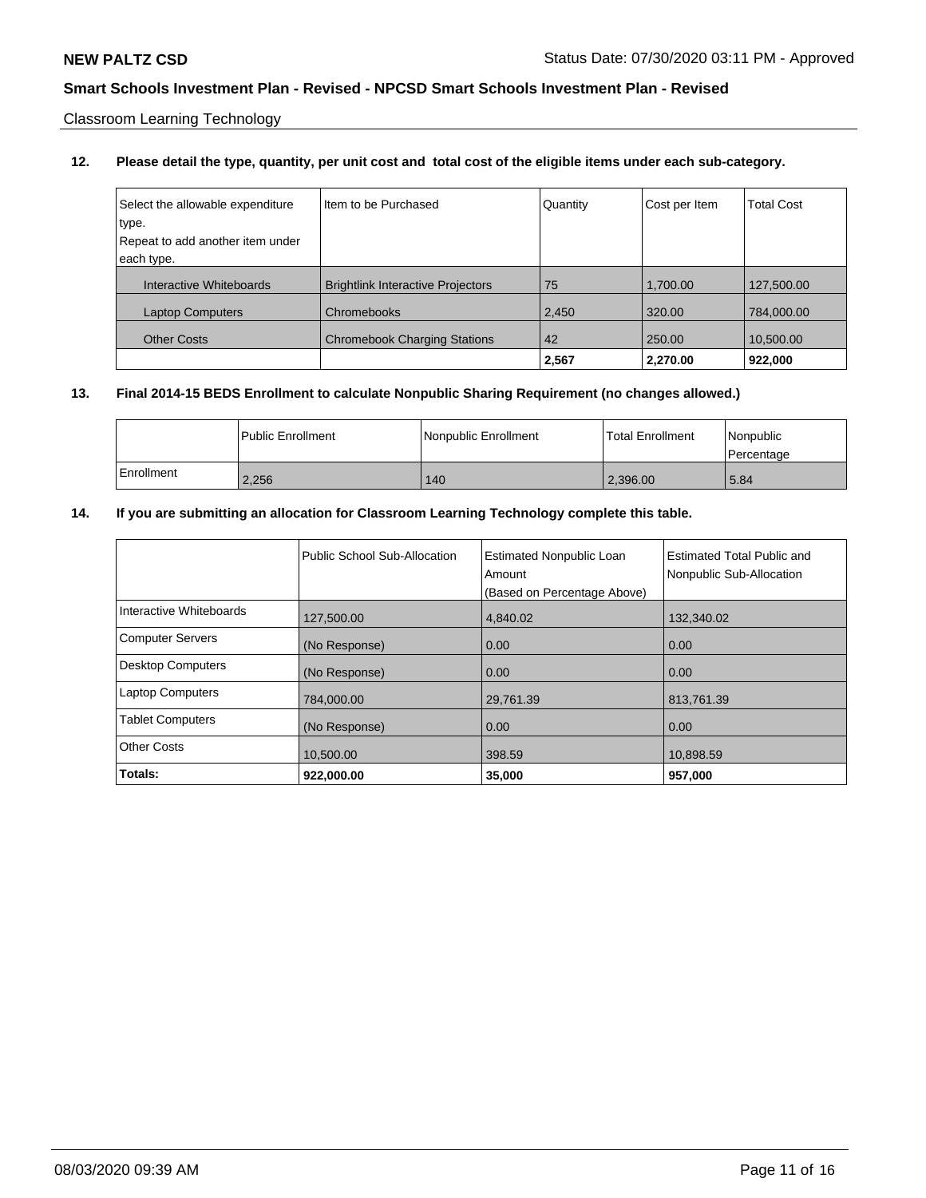Classroom Learning Technology

### **12. Please detail the type, quantity, per unit cost and total cost of the eligible items under each sub-category.**

| Select the allowable expenditure | Item to be Purchased                     | Quantity | Cost per Item | <b>Total Cost</b> |
|----------------------------------|------------------------------------------|----------|---------------|-------------------|
| type.                            |                                          |          |               |                   |
| Repeat to add another item under |                                          |          |               |                   |
| each type.                       |                                          |          |               |                   |
| Interactive Whiteboards          | <b>Brightlink Interactive Projectors</b> | 75       | 1,700.00      | 127,500.00        |
| <b>Laptop Computers</b>          | Chromebooks                              | 2,450    | 320.00        | 784,000.00        |
| <b>Other Costs</b>               | <b>Chromebook Charging Stations</b>      | 42       | 250.00        | 10,500.00         |
|                                  |                                          | 2,567    | 2,270.00      | 922,000           |

# **13. Final 2014-15 BEDS Enrollment to calculate Nonpublic Sharing Requirement (no changes allowed.)**

|              | Public Enrollment | Nonpublic Enrollment | <b>Total Enrollment</b> | l Nonpublic<br>l Percentage |
|--------------|-------------------|----------------------|-------------------------|-----------------------------|
| l Enrollment | 2,256             | 140                  | 2,396.00                | 5.84                        |

### **14. If you are submitting an allocation for Classroom Learning Technology complete this table.**

|                          | Public School Sub-Allocation | <b>Estimated Nonpublic Loan</b><br>Amount<br>(Based on Percentage Above) | Estimated Total Public and<br>Nonpublic Sub-Allocation |
|--------------------------|------------------------------|--------------------------------------------------------------------------|--------------------------------------------------------|
| Interactive Whiteboards  | 127,500.00                   | 4.840.02                                                                 | 132,340.02                                             |
| <b>Computer Servers</b>  | (No Response)                | 0.00                                                                     | 0.00                                                   |
| <b>Desktop Computers</b> | (No Response)                | 0.00                                                                     | 0.00                                                   |
| <b>Laptop Computers</b>  | 784,000.00                   | 29,761.39                                                                | 813,761.39                                             |
| <b>Tablet Computers</b>  | (No Response)                | 0.00                                                                     | 0.00                                                   |
| <b>Other Costs</b>       | 10.500.00                    | 398.59                                                                   | 10,898.59                                              |
| Totals:                  | 922,000.00                   | 35,000                                                                   | 957,000                                                |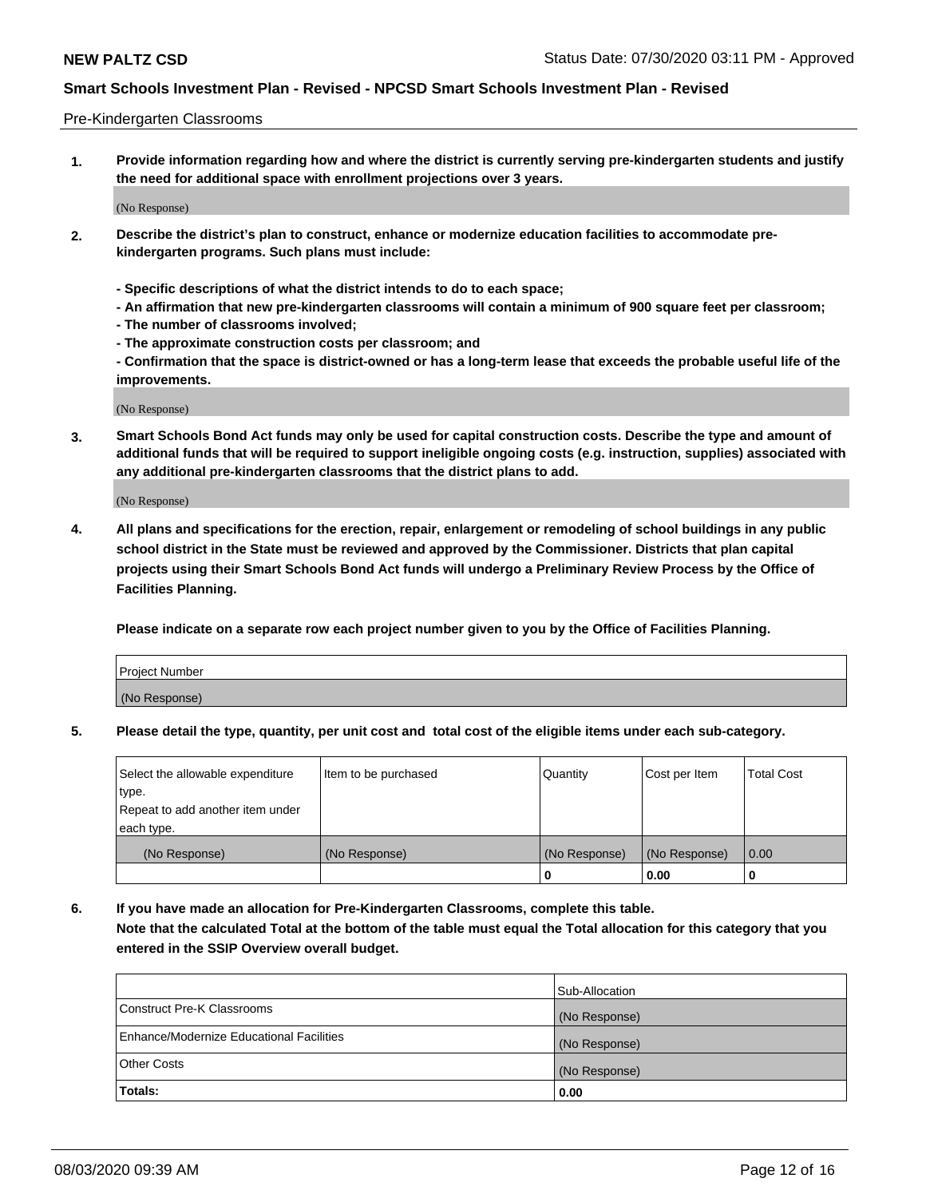### Pre-Kindergarten Classrooms

**1. Provide information regarding how and where the district is currently serving pre-kindergarten students and justify the need for additional space with enrollment projections over 3 years.**

(No Response)

- **2. Describe the district's plan to construct, enhance or modernize education facilities to accommodate prekindergarten programs. Such plans must include:**
	- **Specific descriptions of what the district intends to do to each space;**
	- **An affirmation that new pre-kindergarten classrooms will contain a minimum of 900 square feet per classroom;**
	- **The number of classrooms involved;**
	- **The approximate construction costs per classroom; and**
	- **Confirmation that the space is district-owned or has a long-term lease that exceeds the probable useful life of the improvements.**

(No Response)

**3. Smart Schools Bond Act funds may only be used for capital construction costs. Describe the type and amount of additional funds that will be required to support ineligible ongoing costs (e.g. instruction, supplies) associated with any additional pre-kindergarten classrooms that the district plans to add.**

(No Response)

**4. All plans and specifications for the erection, repair, enlargement or remodeling of school buildings in any public school district in the State must be reviewed and approved by the Commissioner. Districts that plan capital projects using their Smart Schools Bond Act funds will undergo a Preliminary Review Process by the Office of Facilities Planning.**

**Please indicate on a separate row each project number given to you by the Office of Facilities Planning.**

| Project Number |  |
|----------------|--|
| (No Response)  |  |
|                |  |

**5. Please detail the type, quantity, per unit cost and total cost of the eligible items under each sub-category.**

| Select the allowable expenditure | Item to be purchased | Quantity      | Cost per Item | <b>Total Cost</b> |
|----------------------------------|----------------------|---------------|---------------|-------------------|
| type.                            |                      |               |               |                   |
| Repeat to add another item under |                      |               |               |                   |
| each type.                       |                      |               |               |                   |
| (No Response)                    | (No Response)        | (No Response) | (No Response) | 0.00              |
|                                  |                      | U             | 0.00          |                   |

**6. If you have made an allocation for Pre-Kindergarten Classrooms, complete this table. Note that the calculated Total at the bottom of the table must equal the Total allocation for this category that you entered in the SSIP Overview overall budget.**

| Totals:                                  | 0.00           |
|------------------------------------------|----------------|
| <b>Other Costs</b>                       | (No Response)  |
| Enhance/Modernize Educational Facilities | (No Response)  |
| Construct Pre-K Classrooms               | (No Response)  |
|                                          | Sub-Allocation |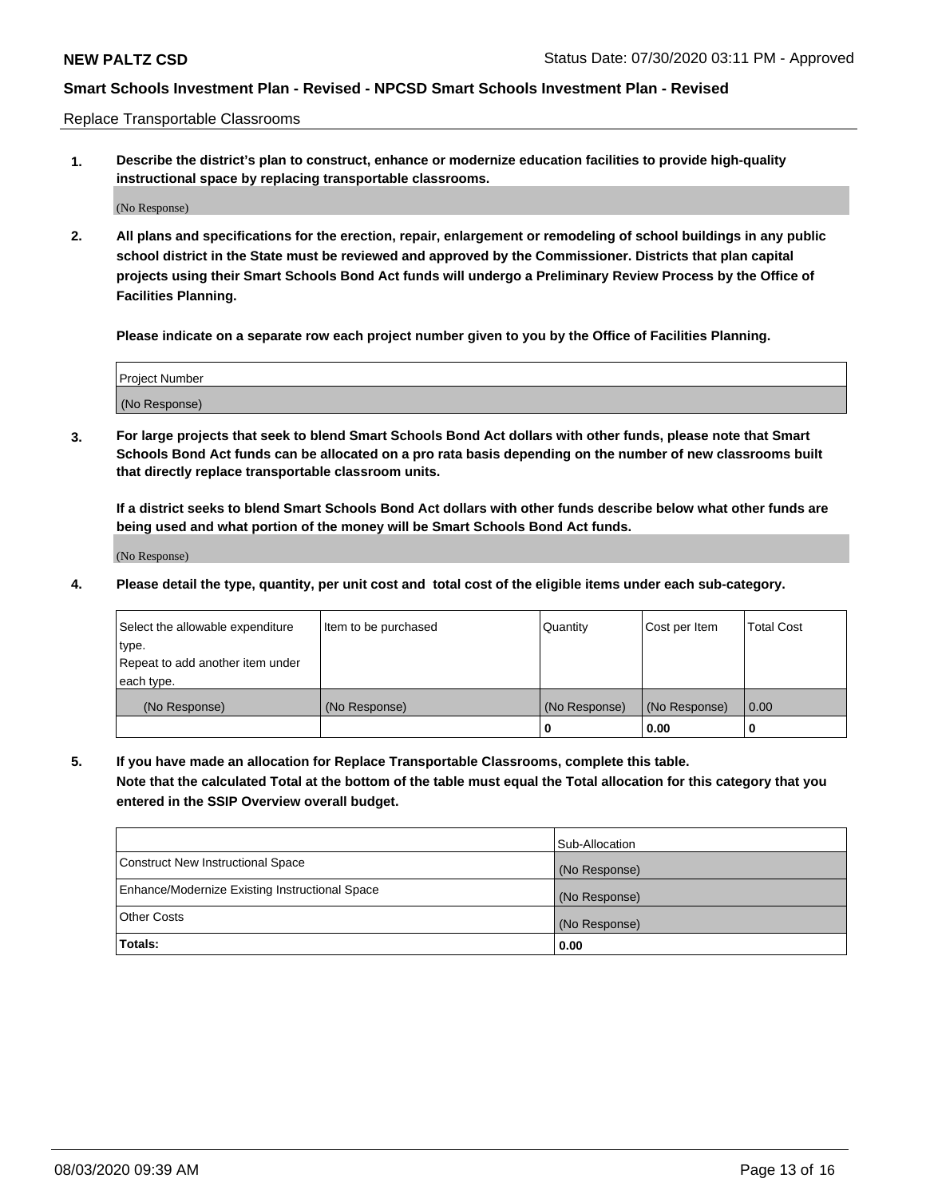Replace Transportable Classrooms

**1. Describe the district's plan to construct, enhance or modernize education facilities to provide high-quality instructional space by replacing transportable classrooms.**

(No Response)

**2. All plans and specifications for the erection, repair, enlargement or remodeling of school buildings in any public school district in the State must be reviewed and approved by the Commissioner. Districts that plan capital projects using their Smart Schools Bond Act funds will undergo a Preliminary Review Process by the Office of Facilities Planning.**

**Please indicate on a separate row each project number given to you by the Office of Facilities Planning.**

| Project Number |  |
|----------------|--|
|                |  |
| (No Response)  |  |

**3. For large projects that seek to blend Smart Schools Bond Act dollars with other funds, please note that Smart Schools Bond Act funds can be allocated on a pro rata basis depending on the number of new classrooms built that directly replace transportable classroom units.**

**If a district seeks to blend Smart Schools Bond Act dollars with other funds describe below what other funds are being used and what portion of the money will be Smart Schools Bond Act funds.**

(No Response)

**4. Please detail the type, quantity, per unit cost and total cost of the eligible items under each sub-category.**

| Select the allowable expenditure | Item to be purchased | Quantity      | Cost per Item | Total Cost |
|----------------------------------|----------------------|---------------|---------------|------------|
| ∣type.                           |                      |               |               |            |
| Repeat to add another item under |                      |               |               |            |
| each type.                       |                      |               |               |            |
| (No Response)                    | (No Response)        | (No Response) | (No Response) | 0.00       |
|                                  |                      | u             | 0.00          |            |

**5. If you have made an allocation for Replace Transportable Classrooms, complete this table. Note that the calculated Total at the bottom of the table must equal the Total allocation for this category that you entered in the SSIP Overview overall budget.**

|                                                | Sub-Allocation |
|------------------------------------------------|----------------|
| Construct New Instructional Space              | (No Response)  |
| Enhance/Modernize Existing Instructional Space | (No Response)  |
| Other Costs                                    | (No Response)  |
| Totals:                                        | 0.00           |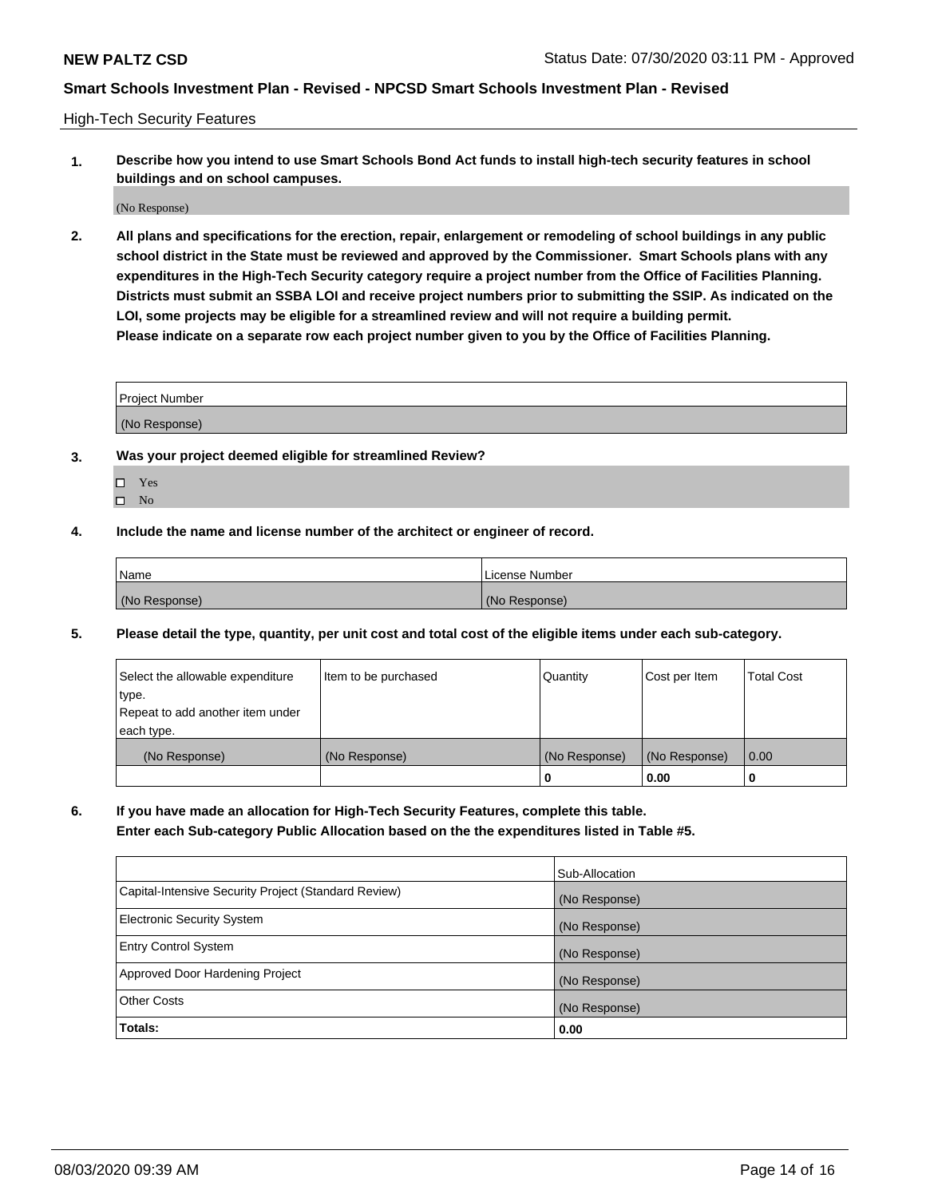High-Tech Security Features

**1. Describe how you intend to use Smart Schools Bond Act funds to install high-tech security features in school buildings and on school campuses.**

(No Response)

**2. All plans and specifications for the erection, repair, enlargement or remodeling of school buildings in any public school district in the State must be reviewed and approved by the Commissioner. Smart Schools plans with any expenditures in the High-Tech Security category require a project number from the Office of Facilities Planning. Districts must submit an SSBA LOI and receive project numbers prior to submitting the SSIP. As indicated on the LOI, some projects may be eligible for a streamlined review and will not require a building permit. Please indicate on a separate row each project number given to you by the Office of Facilities Planning.**

| <b>Project Number</b> |  |
|-----------------------|--|
| (No Response)         |  |

- **3. Was your project deemed eligible for streamlined Review?**
	- Yes
	- $\hfill \square$  No
- **4. Include the name and license number of the architect or engineer of record.**

| <b>Name</b>   | License Number |
|---------------|----------------|
| (No Response) | (No Response)  |

**5. Please detail the type, quantity, per unit cost and total cost of the eligible items under each sub-category.**

| Select the allowable expenditure | Item to be purchased | Quantity      | Cost per Item | <b>Total Cost</b> |
|----------------------------------|----------------------|---------------|---------------|-------------------|
| 'type.                           |                      |               |               |                   |
| Repeat to add another item under |                      |               |               |                   |
| each type.                       |                      |               |               |                   |
| (No Response)                    | (No Response)        | (No Response) | (No Response) | 0.00              |
|                                  |                      | U             | 0.00          |                   |

**6. If you have made an allocation for High-Tech Security Features, complete this table.**

**Enter each Sub-category Public Allocation based on the the expenditures listed in Table #5.**

|                                                      | Sub-Allocation |
|------------------------------------------------------|----------------|
| Capital-Intensive Security Project (Standard Review) | (No Response)  |
| <b>Electronic Security System</b>                    | (No Response)  |
| <b>Entry Control System</b>                          | (No Response)  |
| Approved Door Hardening Project                      | (No Response)  |
| <b>Other Costs</b>                                   | (No Response)  |
| Totals:                                              | 0.00           |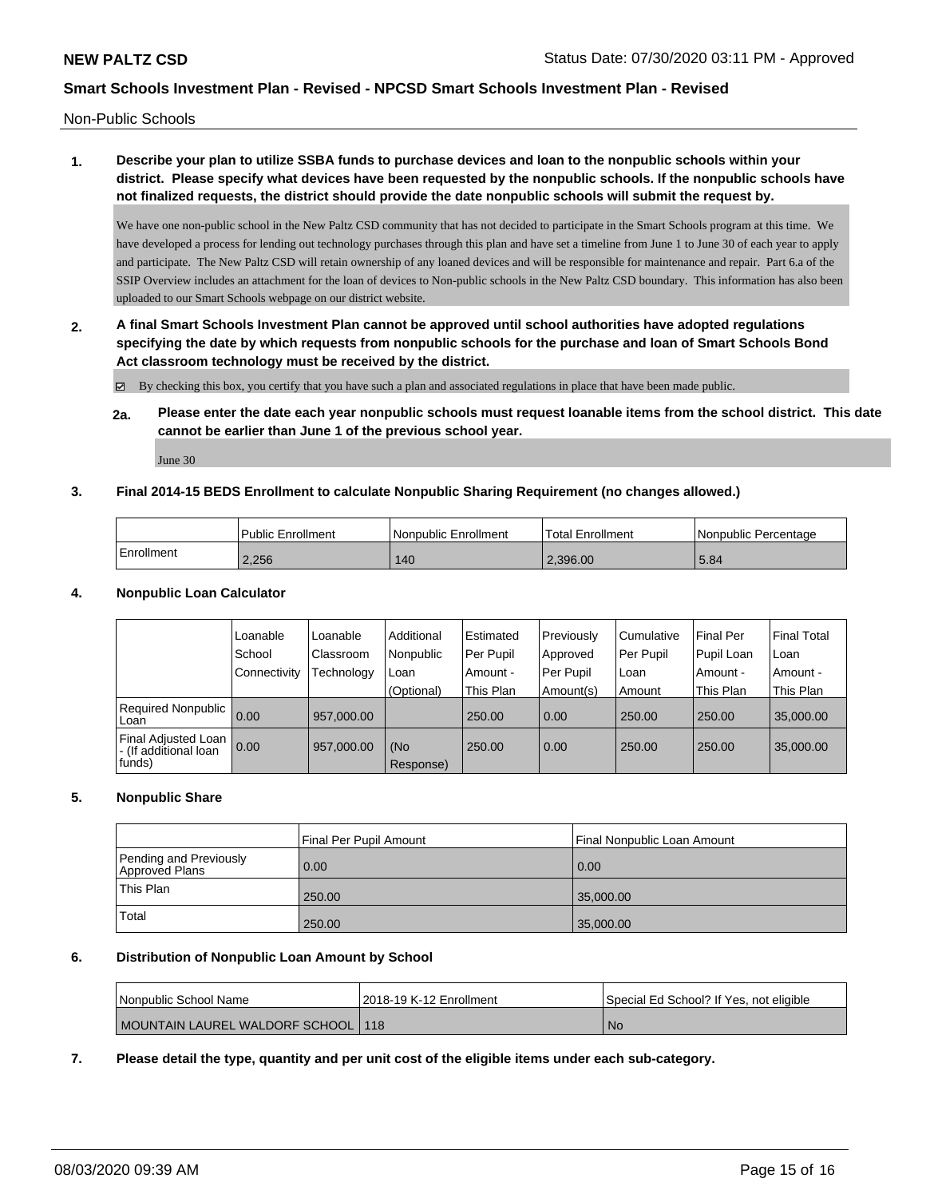Non-Public Schools

# **1. Describe your plan to utilize SSBA funds to purchase devices and loan to the nonpublic schools within your district. Please specify what devices have been requested by the nonpublic schools. If the nonpublic schools have not finalized requests, the district should provide the date nonpublic schools will submit the request by.**

We have one non-public school in the New Paltz CSD community that has not decided to participate in the Smart Schools program at this time. We have developed a process for lending out technology purchases through this plan and have set a timeline from June 1 to June 30 of each year to apply and participate. The New Paltz CSD will retain ownership of any loaned devices and will be responsible for maintenance and repair. Part 6.a of the SSIP Overview includes an attachment for the loan of devices to Non-public schools in the New Paltz CSD boundary. This information has also been uploaded to our Smart Schools webpage on our district website.

**2. A final Smart Schools Investment Plan cannot be approved until school authorities have adopted regulations specifying the date by which requests from nonpublic schools for the purchase and loan of Smart Schools Bond Act classroom technology must be received by the district.**

By checking this box, you certify that you have such a plan and associated regulations in place that have been made public.

**2a. Please enter the date each year nonpublic schools must request loanable items from the school district. This date cannot be earlier than June 1 of the previous school year.**

June 30

### **3. Final 2014-15 BEDS Enrollment to calculate Nonpublic Sharing Requirement (no changes allowed.)**

|              | <b>Public Enrollment</b> | l Nonpublic Enrollment | 'Total Enrollment | l Nonpublic Percentage |
|--------------|--------------------------|------------------------|-------------------|------------------------|
| l Enrollment | 2.256                    | 140                    | 2.396.00          | 5.84                   |

### **4. Nonpublic Loan Calculator**

|                                                        | Loanable       | Loanable   | Additional       | l Estimated | Previously        | l Cumulative | <b>Final Per</b> | <b>Final Total</b> |
|--------------------------------------------------------|----------------|------------|------------------|-------------|-------------------|--------------|------------------|--------------------|
|                                                        | School         | Classroom  | Nonpublic        | Per Pupil   | Approved          | Per Pupil    | Pupil Loan       | Loan               |
|                                                        | l Connectivity | Technology | Loan             | Amount -    | Per Pupil         | l Loan       | Amount -         | Amount -           |
|                                                        |                |            | (Optional)       | This Plan   | Amount(s)         | Amount       | This Plan        | This Plan          |
| Required Nonpublic 0.00<br>Loan                        |                | 957,000.00 |                  | 250.00      | 0.00              | 250.00       | 250.00           | 35,000.00          |
| Final Adjusted Loan<br>- (If additional loan<br>funds) | 0.00           | 957,000.00 | (No<br>Response) | 250.00      | $\overline{0.00}$ | 250.00       | 250.00           | 35,000.00          |

### **5. Nonpublic Share**

|                                          | Final Per Pupil Amount | Final Nonpublic Loan Amount |
|------------------------------------------|------------------------|-----------------------------|
| Pending and Previously<br>Approved Plans | 0.00                   | 0.00                        |
| This Plan                                | 250.00                 | 35,000.00                   |
| Total                                    | 250.00                 | 35,000.00                   |

### **6. Distribution of Nonpublic Loan Amount by School**

| l Nonpublic School Name              | 2018-19 K-12 Enrollment | Special Ed School? If Yes, not eligible |
|--------------------------------------|-------------------------|-----------------------------------------|
| MOUNTAIN LAUREL WALDORF SCHOOL   118 |                         | <b>No</b>                               |

**7. Please detail the type, quantity and per unit cost of the eligible items under each sub-category.**